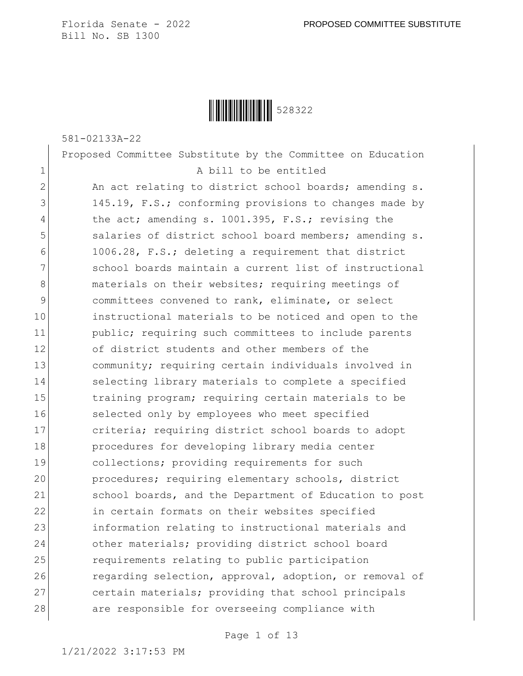**│││││││││││││││** 528322

581-02133A-22

Proposed Committee Substitute by the Committee on Education 1 a bill to be entitled

2 An act relating to district school boards; amending s. 3 145.19, F.S.; conforming provisions to changes made by 4 the act; amending s. 1001.395, F.S.; revising the 5 salaries of district school board members; amending s. 6 1006.28, F.S.; deleting a requirement that district 7 School boards maintain a current list of instructional 8 materials on their websites; requiring meetings of 9 committees convened to rank, eliminate, or select 10 instructional materials to be noticed and open to the 11 **public;** requiring such committees to include parents 12 of district students and other members of the 13 community; requiring certain individuals involved in 14 Selecting library materials to complete a specified 15 15 training program; requiring certain materials to be 16 selected only by employees who meet specified 17 criteria; requiring district school boards to adopt 18 procedures for developing library media center 19 collections; providing requirements for such 20 procedures; requiring elementary schools, district 21 School boards, and the Department of Education to post 22 in certain formats on their websites specified 23 information relating to instructional materials and 24 other materials; providing district school board 25 **requirements relating to public participation** 26 regarding selection, approval, adoption, or removal of 27 certain materials; providing that school principals 28 are responsible for overseeing compliance with

Page 1 of 13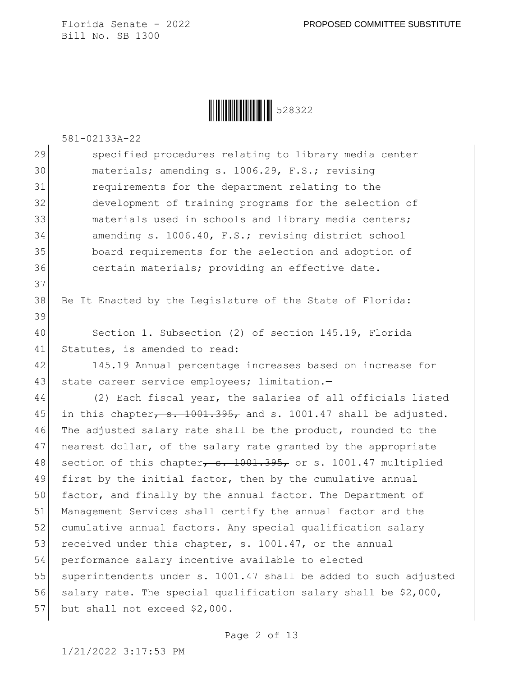**│││││││││││││││** 528322

581-02133A-22

37

29 Specified procedures relating to library media center materials; amending s. 1006.29, F.S.; revising requirements for the department relating to the development of training programs for the selection of 33 and materials used in schools and library media centers; amending s. 1006.40, F.S.; revising district school board requirements for the selection and adoption of 36 certain materials; providing an effective date.

38 Be It Enacted by the Legislature of the State of Florida: 39 40 Section 1. Subsection (2) of section 145.19, Florida

41 Statutes, is amended to read:

42 145.19 Annual percentage increases based on increase for 43 state career service employees; limitation.-

44 (2) Each fiscal year, the salaries of all officials listed 45 in this chapter,  $s. 1001.395$ , and s. 1001.47 shall be adjusted. 46 The adjusted salary rate shall be the product, rounded to the 47 nearest dollar, of the salary rate granted by the appropriate 48 section of this chapter,  $s. 1001.395$ , or s. 1001.47 multiplied 49 first by the initial factor, then by the cumulative annual 50 factor, and finally by the annual factor. The Department of 51 Management Services shall certify the annual factor and the 52 cumulative annual factors. Any special qualification salary 53 received under this chapter, s. 1001.47, or the annual 54 performance salary incentive available to elected 55 superintendents under s. 1001.47 shall be added to such adjusted 56 salary rate. The special qualification salary shall be  $$2,000$ , 57 but shall not exceed \$2,000.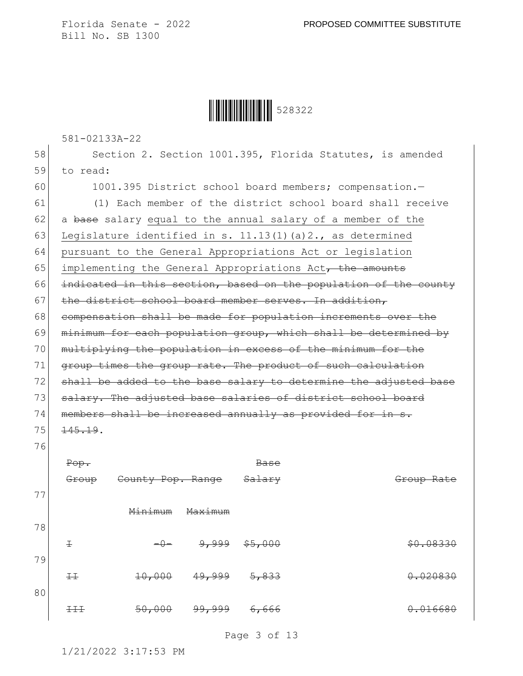║║║║║║║║║║ 528322

581-02133A-22

58 Section 2. Section 1001.395, Florida Statutes, is amended 59 to read: 60 1001.395 District school board members; compensation.-61 (1) Each member of the district school board shall receive 62 a base salary equal to the annual salary of a member of the 63 Legislature identified in s. 11.13(1)(a)2., as determined 64 pursuant to the General Appropriations Act or legislation 65 implementing the General Appropriations Act<sub> $\tau$ </sub> the amounts 66 indicated in this section, based on the population of the county 67 the district school board member serves. In addition, 68 compensation shall be made for population increments over the 69 minimum for each population group, which shall be determined by 70 multiplying the population in excess of the minimum for the 71 group times the group rate. The product of such calculation 72 shall be added to the base salary to determine the adjusted base 73 salary. The adjusted base salaries of district school board 74 members shall be increased annually as provided for in s. 75 145.19. 76 Pop. Group County Pop. Range Base Salary Group Rate 77 Minimum Maximum 78  $\pm$   $-0$   $\frac{9}{2}$   $\frac{999}{5}$   $\frac{55}{200}$   $\frac{100}{20}$   $\frac{20}{20}$   $\frac{20}{20}$ 79 II 10,000 49,999 5,833 0.020830 80 III 50,000 99,999 6,666 0.016680

Page 3 of 13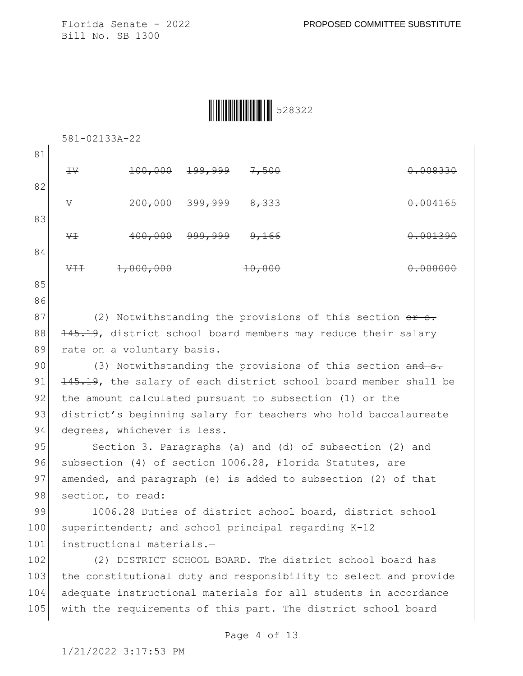| <u>                                   </u> | 528322 |
|--------------------------------------------|--------|
|--------------------------------------------|--------|

|     | 581-02133A-22                                                             |                    |                    |        |                                                               |
|-----|---------------------------------------------------------------------------|--------------------|--------------------|--------|---------------------------------------------------------------|
| 81  |                                                                           |                    |                    |        |                                                               |
|     | $\pm \vee$                                                                | <del>100,000</del> | <del>199,999</del> | 7,500  | 0.008330                                                      |
| 82  |                                                                           |                    |                    |        |                                                               |
|     | V                                                                         | 200,000            | <del>399,999</del> | 8, 333 | 0.004165                                                      |
| 83  |                                                                           |                    |                    |        |                                                               |
|     | ₩Ŧ                                                                        | 400,000            | <u>999,999</u>     | 9,166  | 0.001390                                                      |
| 84  |                                                                           |                    |                    |        |                                                               |
|     | <del>VII</del>                                                            | 1,000,000          |                    | 10,000 |                                                               |
| 85  |                                                                           |                    |                    |        |                                                               |
| 86  |                                                                           |                    |                    |        |                                                               |
| 87  | (2) Notwithstanding the provisions of this section $\theta$ at $\theta$ . |                    |                    |        |                                                               |
| 88  | 145.19, district school board members may reduce their salary             |                    |                    |        |                                                               |
| 89  | rate on a voluntary basis.                                                |                    |                    |        |                                                               |
| 90  |                                                                           |                    |                    |        | (3) Notwithstanding the provisions of this section and s.     |
| 91  | 145.19, the salary of each district school board member shall be          |                    |                    |        |                                                               |
| 92  | the amount calculated pursuant to subsection (1) or the                   |                    |                    |        |                                                               |
| 93  | district's beginning salary for teachers who hold baccalaureate           |                    |                    |        |                                                               |
| 94  | degrees, whichever is less.                                               |                    |                    |        |                                                               |
| 95  | Section 3. Paragraphs (a) and (d) of subsection (2) and                   |                    |                    |        |                                                               |
| 96  | subsection (4) of section 1006.28, Florida Statutes, are                  |                    |                    |        |                                                               |
| 97  | amended, and paragraph (e) is added to subsection (2) of that             |                    |                    |        |                                                               |
| 98  | section, to read:                                                         |                    |                    |        |                                                               |
| 99  |                                                                           |                    |                    |        | 1006.28 Duties of district school board, district school      |
| 100 | superintendent; and school principal regarding K-12                       |                    |                    |        |                                                               |
| 101 | instructional materials.-                                                 |                    |                    |        |                                                               |
| 102 | (2) DISTRICT SCHOOL BOARD. The district school board has                  |                    |                    |        |                                                               |
| 103 | the constitutional duty and responsibility to select and provide          |                    |                    |        |                                                               |
| 104 | adequate instructional materials for all students in accordance           |                    |                    |        |                                                               |
| 105 |                                                                           |                    |                    |        | with the requirements of this part. The district school board |
|     |                                                                           |                    |                    |        |                                                               |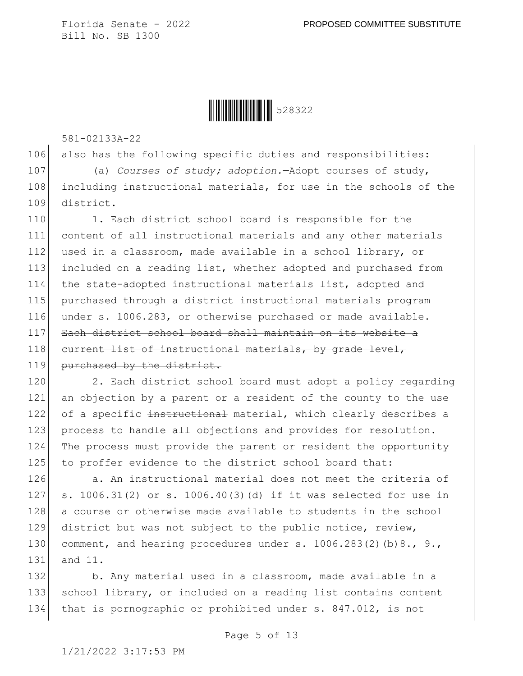**│││││││││││││││** 528322

581-02133A-22

106 also has the following specific duties and responsibilities: 107 (a) *Courses of study; adoption.*—Adopt courses of study, 108 including instructional materials, for use in the schools of the 109 district.

110 1. Each district school board is responsible for the 111 content of all instructional materials and any other materials 112 used in a classroom, made available in a school library, or 113 included on a reading list, whether adopted and purchased from 114 the state-adopted instructional materials list, adopted and 115 purchased through a district instructional materials program 116 under s. 1006.283, or otherwise purchased or made available. 117 Each district school board shall maintain on its website a 118 current list of instructional materials, by grade level, 119 purchased by the district.

120 2. Each district school board must adopt a policy regarding 121 an objection by a parent or a resident of the county to the use 122 of a specific instructional material, which clearly describes a 123 process to handle all objections and provides for resolution. 124 The process must provide the parent or resident the opportunity 125 to proffer evidence to the district school board that:

126 a. An instructional material does not meet the criteria of 127 s. 1006.31(2) or s. 1006.40(3)(d) if it was selected for use in 128 a course or otherwise made available to students in the school 129 district but was not subject to the public notice, review, 130 comment, and hearing procedures under s.  $1006.283(2)(b)8.$ , 9., 131 and 11.

132 b. Any material used in a classroom, made available in a 133 school library, or included on a reading list contains content 134 that is pornographic or prohibited under s. 847.012, is not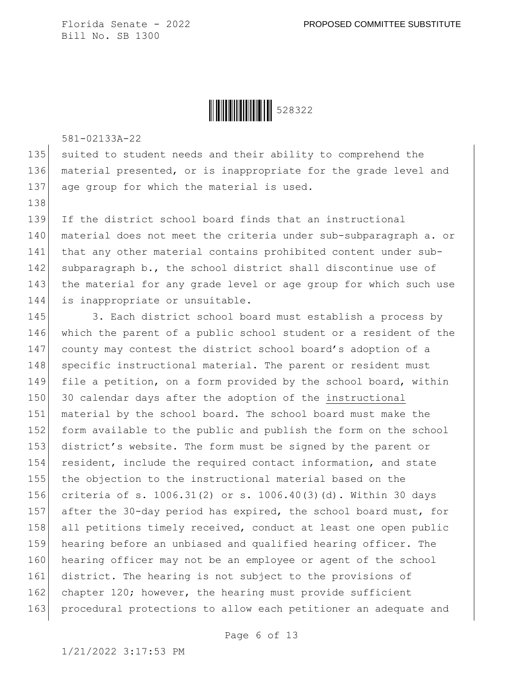**│││││││││││││││** 528322

581-02133A-22

138

135 suited to student needs and their ability to comprehend the 136 material presented, or is inappropriate for the grade level and 137 age group for which the material is used.

139 If the district school board finds that an instructional 140 material does not meet the criteria under sub-subparagraph a. or 141 that any other material contains prohibited content under sub-142 subparagraph b., the school district shall discontinue use of 143 the material for any grade level or age group for which such use 144 is inappropriate or unsuitable.

145 3. Each district school board must establish a process by 146 which the parent of a public school student or a resident of the 147 county may contest the district school board's adoption of a 148 specific instructional material. The parent or resident must 149 file a petition, on a form provided by the school board, within 150 30 calendar days after the adoption of the instructional 151 material by the school board. The school board must make the 152 form available to the public and publish the form on the school 153 district's website. The form must be signed by the parent or 154 resident, include the required contact information, and state 155 the objection to the instructional material based on the 156 criteria of s. 1006.31(2) or s. 1006.40(3)(d). Within 30 days 157 after the 30-day period has expired, the school board must, for 158 all petitions timely received, conduct at least one open public 159 hearing before an unbiased and qualified hearing officer. The 160 hearing officer may not be an employee or agent of the school 161 district. The hearing is not subject to the provisions of 162 chapter 120; however, the hearing must provide sufficient 163 procedural protections to allow each petitioner an adequate and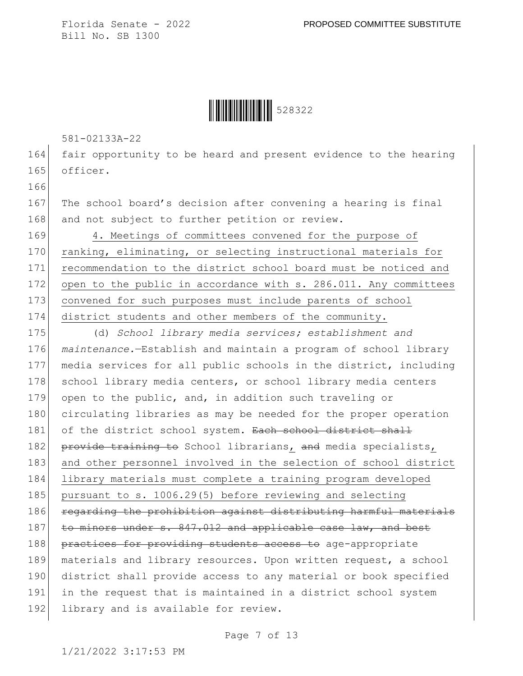**│││││││││││││││** 528322

581-02133A-22

166

164 fair opportunity to be heard and present evidence to the hearing 165 officer.

167 The school board's decision after convening a hearing is final 168 and not subject to further petition or review.

169 4. Meetings of committees convened for the purpose of 170 ranking, eliminating, or selecting instructional materials for 171 recommendation to the district school board must be noticed and 172 open to the public in accordance with s. 286.011. Any committees 173 convened for such purposes must include parents of school 174 district students and other members of the community.

175 (d) *School library media services; establishment and*  176 *maintenance.*—Establish and maintain a program of school library 177 media services for all public schools in the district, including 178 school library media centers, or school library media centers 179 open to the public, and, in addition such traveling or 180 circulating libraries as may be needed for the proper operation 181 of the district school system. Each school district shall 182 provide training to School librarians, and media specialists, 183 and other personnel involved in the selection of school district 184 library materials must complete a training program developed 185 pursuant to s. 1006.29(5) before reviewing and selecting 186 regarding the prohibition against distributing harmful materials 187 to minors under s. 847.012 and applicable case law, and best 188 practices for providing students access to age-appropriate 189 materials and library resources. Upon written request, a school 190 district shall provide access to any material or book specified 191 in the request that is maintained in a district school system 192 library and is available for review.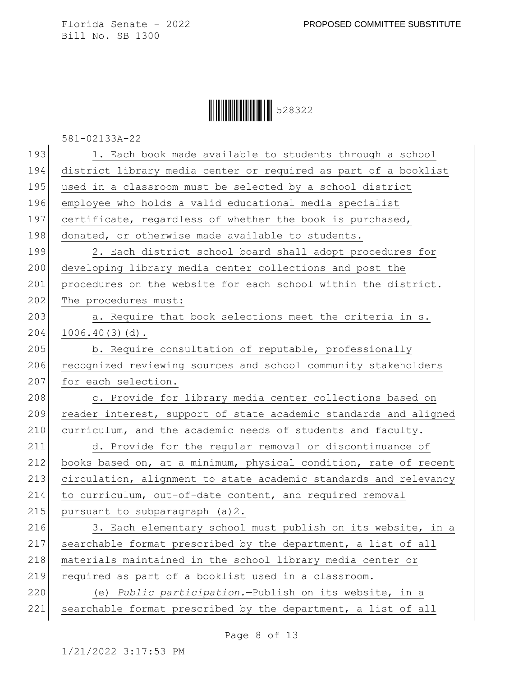## **│││││││││││││││** 528322

581-02133A-22

| 193 | 1. Each book made available to students through a school         |
|-----|------------------------------------------------------------------|
| 194 | district library media center or required as part of a booklist  |
| 195 | used in a classroom must be selected by a school district        |
| 196 | employee who holds a valid educational media specialist          |
| 197 | certificate, regardless of whether the book is purchased,        |
| 198 | donated, or otherwise made available to students.                |
| 199 | 2. Each district school board shall adopt procedures for         |
| 200 | developing library media center collections and post the         |
| 201 | procedures on the website for each school within the district.   |
| 202 | The procedures must:                                             |
| 203 | a. Require that book selections meet the criteria in s.          |
| 204 | $1006.40(3)(d)$ .                                                |
| 205 | b. Require consultation of reputable, professionally             |
| 206 | recognized reviewing sources and school community stakeholders   |
| 207 | for each selection.                                              |
| 208 | c. Provide for library media center collections based on         |
| 209 | reader interest, support of state academic standards and aligned |
| 210 | curriculum, and the academic needs of students and faculty.      |
| 211 | d. Provide for the regular removal or discontinuance of          |
| 212 | books based on, at a minimum, physical condition, rate of recent |
| 213 | circulation, alignment to state academic standards and relevancy |
| 214 | to curriculum, out-of-date content, and required removal         |
| 215 | pursuant to subparagraph (a) 2.                                  |
| 216 | 3. Each elementary school must publish on its website, in a      |
| 217 | searchable format prescribed by the department, a list of all    |
| 218 | materials maintained in the school library media center or       |
| 219 | required as part of a booklist used in a classroom.              |
| 220 | (e) Public participation. - Publish on its website, in a         |
| 221 | searchable format prescribed by the department, a list of all    |
|     |                                                                  |

Page 8 of 13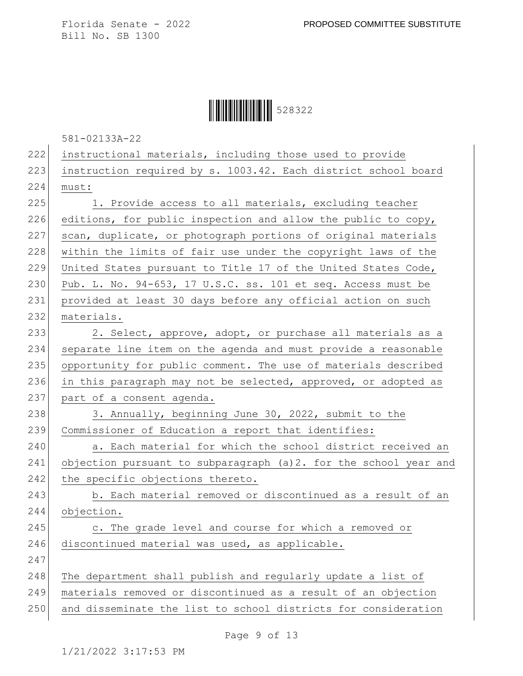## **│││││││││││││││** 528322

581-02133A-22

| 222 | instructional materials, including those used to provide         |
|-----|------------------------------------------------------------------|
| 223 | instruction required by s. 1003.42. Each district school board   |
| 224 | must:                                                            |
| 225 | 1. Provide access to all materials, excluding teacher            |
| 226 | editions, for public inspection and allow the public to copy,    |
| 227 | scan, duplicate, or photograph portions of original materials    |
| 228 | within the limits of fair use under the copyright laws of the    |
| 229 | United States pursuant to Title 17 of the United States Code,    |
| 230 | Pub. L. No. 94-653, 17 U.S.C. ss. 101 et seq. Access must be     |
| 231 | provided at least 30 days before any official action on such     |
| 232 | materials.                                                       |
| 233 | 2. Select, approve, adopt, or purchase all materials as a        |
| 234 | separate line item on the agenda and must provide a reasonable   |
| 235 | opportunity for public comment. The use of materials described   |
| 236 | in this paragraph may not be selected, approved, or adopted as   |
| 237 | part of a consent agenda.                                        |
| 238 | 3. Annually, beginning June 30, 2022, submit to the              |
| 239 | Commissioner of Education a report that identifies:              |
| 240 | a. Each material for which the school district received an       |
| 241 | objection pursuant to subparagraph (a)2. for the school year and |
| 242 | the specific objections thereto.                                 |
| 243 | b. Each material removed or discontinued as a result of an       |
| 244 | objection.                                                       |
| 245 | c. The grade level and course for which a removed or             |
| 246 | discontinued material was used, as applicable.                   |
| 247 |                                                                  |
| 248 | The department shall publish and regularly update a list of      |
| 249 | materials removed or discontinued as a result of an objection    |
| 250 | and disseminate the list to school districts for consideration   |

Page 9 of 13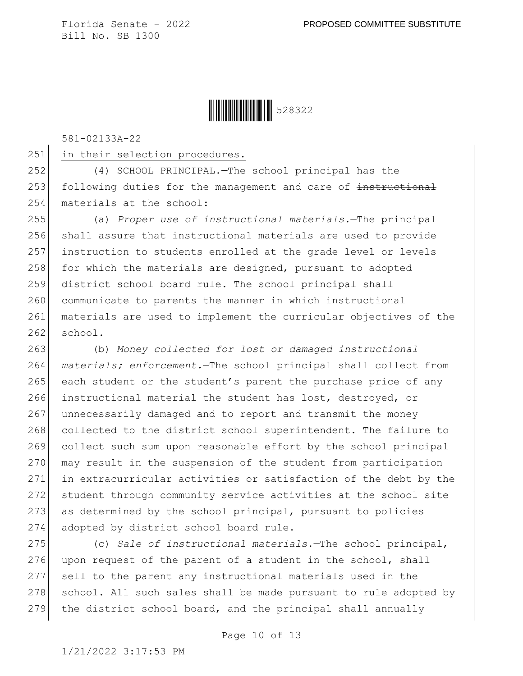## **││││││││││││││** 528322

581-02133A-22

251 in their selection procedures.

252 (4) SCHOOL PRINCIPAL.—The school principal has the 253 following duties for the management and care of instructional 254 materials at the school:

255 (a) *Proper use of instructional materials.*—The principal 256 shall assure that instructional materials are used to provide 257 instruction to students enrolled at the grade level or levels 258 for which the materials are designed, pursuant to adopted 259 district school board rule. The school principal shall 260 communicate to parents the manner in which instructional 261 materials are used to implement the curricular objectives of the  $262$  school.

263 (b) *Money collected for lost or damaged instructional*  264 *materials; enforcement.*—The school principal shall collect from 265 each student or the student's parent the purchase price of any 266 instructional material the student has lost, destroyed, or 267 unnecessarily damaged and to report and transmit the money 268 collected to the district school superintendent. The failure to 269 collect such sum upon reasonable effort by the school principal 270 may result in the suspension of the student from participation 271 in extracurricular activities or satisfaction of the debt by the 272 student through community service activities at the school site 273 as determined by the school principal, pursuant to policies 274 adopted by district school board rule.

275 (c) *Sale of instructional materials.*—The school principal, 276 upon request of the parent of a student in the school, shall 277 sell to the parent any instructional materials used in the 278 school. All such sales shall be made pursuant to rule adopted by 279 the district school board, and the principal shall annually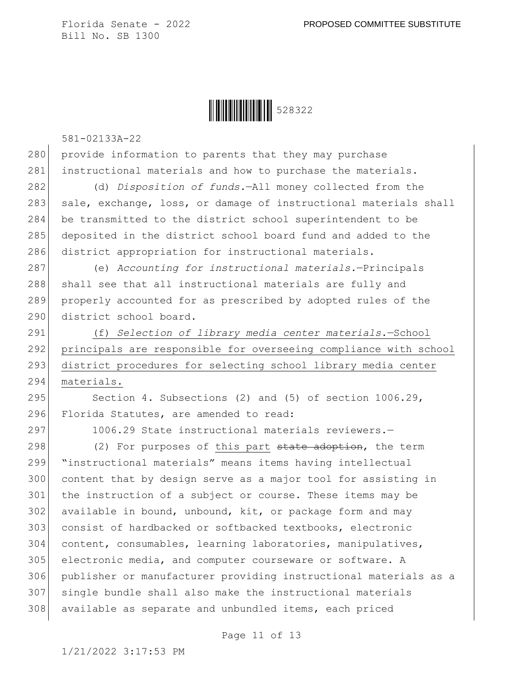## **│││││││││││││││** 528322

581-02133A-22

280 provide information to parents that they may purchase 281 instructional materials and how to purchase the materials.

282 (d) *Disposition of funds.*—All money collected from the 283 sale, exchange, loss, or damage of instructional materials shall 284 be transmitted to the district school superintendent to be 285 deposited in the district school board fund and added to the 286 district appropriation for instructional materials.

287 (e) *Accounting for instructional materials.*—Principals 288 shall see that all instructional materials are fully and 289 properly accounted for as prescribed by adopted rules of the 290 district school board.

 (f) *Selection of library media center materials.*—School principals are responsible for overseeing compliance with school 293 district procedures for selecting school library media center materials.

295 Section 4. Subsections (2) and (5) of section 1006.29, 296 Florida Statutes, are amended to read:

297 1006.29 State instructional materials reviewers. -

298 (2) For purposes of this part state adoption, the term "instructional materials" means items having intellectual content that by design serve as a major tool for assisting in the instruction of a subject or course. These items may be available in bound, unbound, kit, or package form and may consist of hardbacked or softbacked textbooks, electronic 304 content, consumables, learning laboratories, manipulatives, electronic media, and computer courseware or software. A publisher or manufacturer providing instructional materials as a single bundle shall also make the instructional materials 308 available as separate and unbundled items, each priced

Page 11 of 13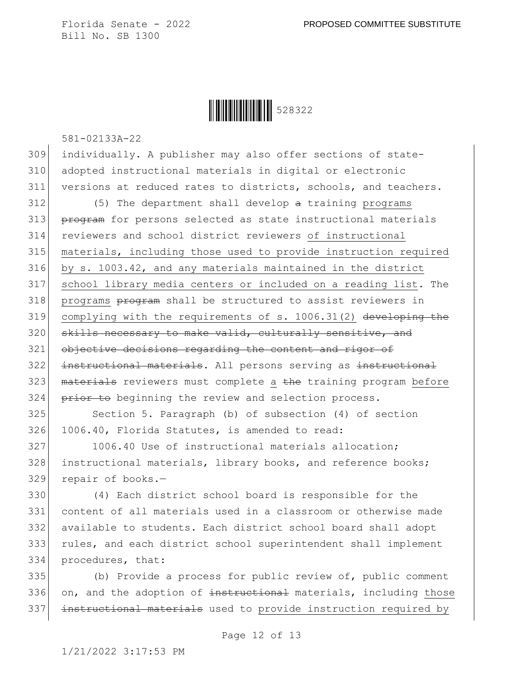**│││││││││││││││** 528322

581-02133A-22

309 individually. A publisher may also offer sections of state-310 adopted instructional materials in digital or electronic 311 versions at reduced rates to districts, schools, and teachers.

 $312$  (5) The department shall develop  $\alpha$  training programs 313 program for persons selected as state instructional materials 314 reviewers and school district reviewers of instructional 315 materials, including those used to provide instruction required 316 by s. 1003.42, and any materials maintained in the district 317 school library media centers or included on a reading list. The 318 programs program shall be structured to assist reviewers in 319 complying with the requirements of s. 1006.31(2) developing the 320 skills necessary to make valid, culturally sensitive, and 321 objective decisions regarding the content and rigor of 322 instructional materials. All persons serving as instructional 323 | materials reviewers must complete a the training program before 324 prior to beginning the review and selection process.

325 Section 5. Paragraph (b) of subsection (4) of section 326 1006.40, Florida Statutes, is amended to read:

327 1006.40 Use of instructional materials allocation; 328 instructional materials, library books, and reference books; 329 repair of books.-

 (4) Each district school board is responsible for the content of all materials used in a classroom or otherwise made available to students. Each district school board shall adopt rules, and each district school superintendent shall implement procedures, that:

335 (b) Provide a process for public review of, public comment 336 on, and the adoption of instructional materials, including those 337 instructional materials used to provide instruction required by